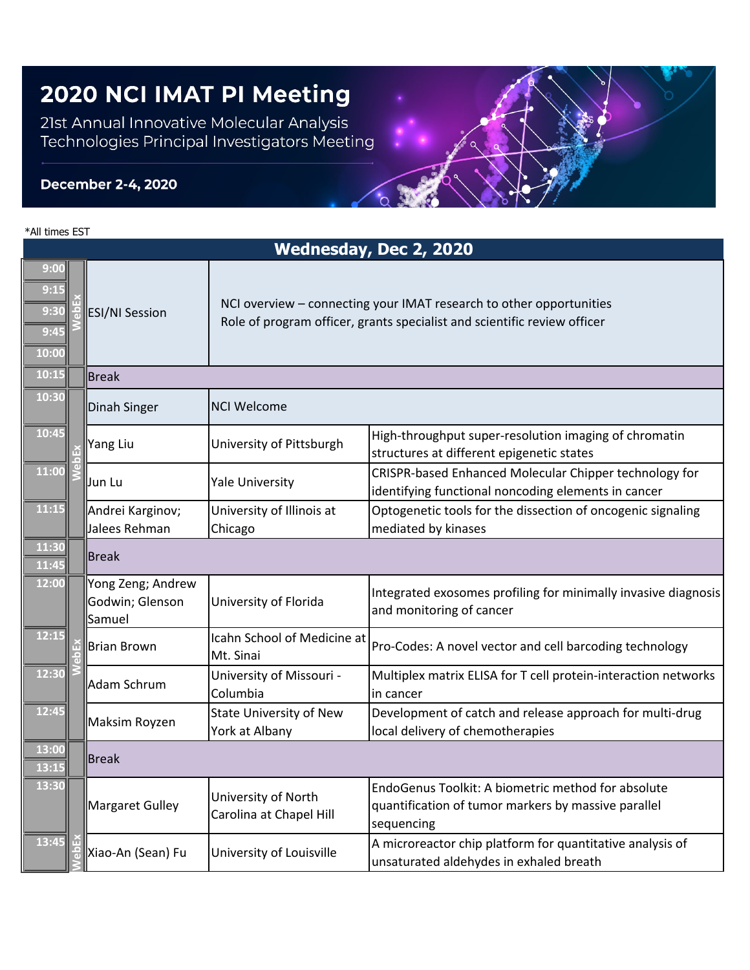## 2020 NCI IMAT PI Meeting

21st Annual Innovative Molecular Analysis Technologies Principal Investigators Meeting

## **December 2-4, 2020**

| *All times EST                        |                                                |                                                                                                                                                 |                                                                                                                         |  |  |  |
|---------------------------------------|------------------------------------------------|-------------------------------------------------------------------------------------------------------------------------------------------------|-------------------------------------------------------------------------------------------------------------------------|--|--|--|
|                                       | Wednesday, Dec 2, 2020                         |                                                                                                                                                 |                                                                                                                         |  |  |  |
| 9:00<br>9:1!<br>9:30<br>9:45<br>10:00 | ESI/NI Session                                 | NCI overview - connecting your IMAT research to other opportunities<br>Role of program officer, grants specialist and scientific review officer |                                                                                                                         |  |  |  |
| 10:15                                 | <b>Break</b>                                   |                                                                                                                                                 |                                                                                                                         |  |  |  |
| 10:30                                 | Dinah Singer                                   | <b>NCI Welcome</b>                                                                                                                              |                                                                                                                         |  |  |  |
| 10:45                                 | Yang Liu                                       | University of Pittsburgh                                                                                                                        | High-throughput super-resolution imaging of chromatin<br>structures at different epigenetic states                      |  |  |  |
| 11:00                                 | Jun Lu                                         | <b>Yale University</b>                                                                                                                          | CRISPR-based Enhanced Molecular Chipper technology for<br>identifying functional noncoding elements in cancer           |  |  |  |
| 11:15                                 | Andrei Karginov;<br>Jalees Rehman              | University of Illinois at<br>Chicago                                                                                                            | Optogenetic tools for the dissection of oncogenic signaling<br>mediated by kinases                                      |  |  |  |
| 11:30<br>11:45                        | ∥Break                                         |                                                                                                                                                 |                                                                                                                         |  |  |  |
| 12:00                                 | Yong Zeng; Andrew<br>Godwin; Glenson<br>Samuel | University of Florida                                                                                                                           | Integrated exosomes profiling for minimally invasive diagnosis<br>and monitoring of cancer                              |  |  |  |
| 12:15                                 | Brian Brown                                    | Icahn School of Medicine at<br>Mt. Sinai                                                                                                        | Pro-Codes: A novel vector and cell barcoding technology                                                                 |  |  |  |
| 12:30                                 | Adam Schrum                                    | University of Missouri -<br>Columbia                                                                                                            | Multiplex matrix ELISA for T cell protein-interaction networks<br>in cancer                                             |  |  |  |
| 12:45                                 | Maksim Royzen                                  | <b>State University of New</b><br>York at Albany                                                                                                | Development of catch and release approach for multi-drug<br>local delivery of chemotherapies                            |  |  |  |
| 13:00<br><u> 13:15</u>                | ∥Break                                         |                                                                                                                                                 |                                                                                                                         |  |  |  |
| 13:30                                 | Margaret Gulley                                | University of North<br>Carolina at Chapel Hill                                                                                                  | EndoGenus Toolkit: A biometric method for absolute<br>quantification of tumor markers by massive parallel<br>sequencing |  |  |  |
| 13:45                                 | Xiao-An (Sean) Fu                              | University of Louisville                                                                                                                        | A microreactor chip platform for quantitative analysis of<br>unsaturated aldehydes in exhaled breath                    |  |  |  |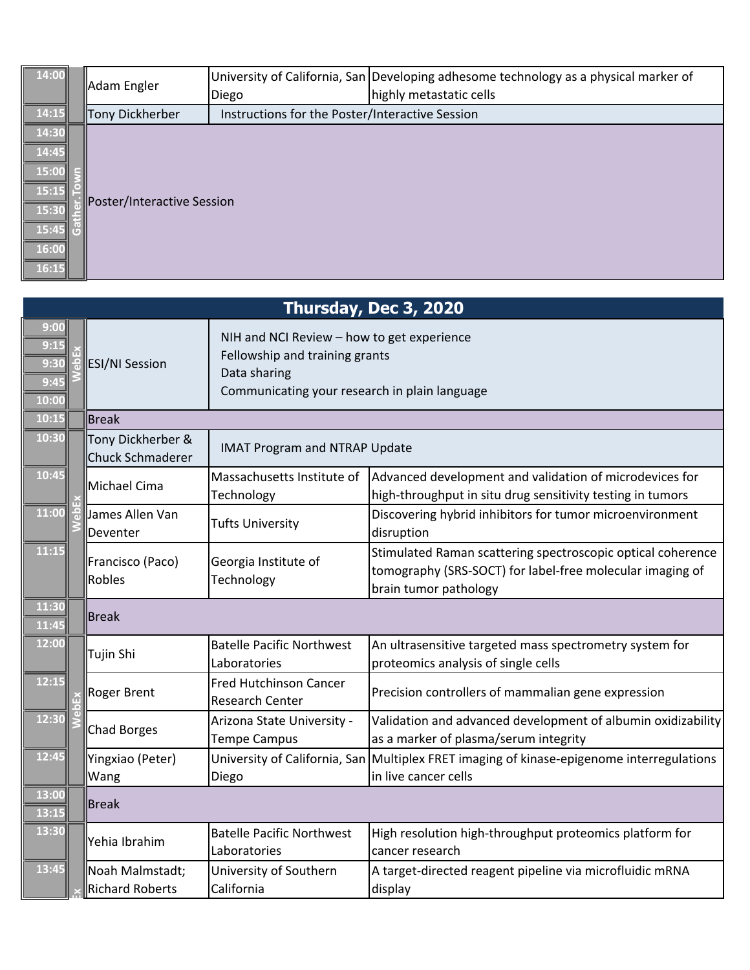| 14:00          |  | Adam Engler                | Diego                                           | University of California, San Developing adhesome technology as a physical marker of<br>highly metastatic cells |  |  |
|----------------|--|----------------------------|-------------------------------------------------|-----------------------------------------------------------------------------------------------------------------|--|--|
| 14:15          |  | Tony Dickherber            | Instructions for the Poster/Interactive Session |                                                                                                                 |  |  |
| 14:30          |  |                            |                                                 |                                                                                                                 |  |  |
| 14:45          |  | Poster/Interactive Session |                                                 |                                                                                                                 |  |  |
| 15:00          |  |                            |                                                 |                                                                                                                 |  |  |
| 15:15<br>15:30 |  |                            |                                                 |                                                                                                                 |  |  |
| 15:45          |  |                            |                                                 |                                                                                                                 |  |  |
| 16:00          |  |                            |                                                 |                                                                                                                 |  |  |
| 16:15          |  |                            |                                                 |                                                                                                                 |  |  |

|                                       | Thursday, Dec 3, 2020 |                                           |                                                                                                                                               |                                                                                                                                                   |  |
|---------------------------------------|-----------------------|-------------------------------------------|-----------------------------------------------------------------------------------------------------------------------------------------------|---------------------------------------------------------------------------------------------------------------------------------------------------|--|
| 9:00<br>9:15<br>9:30<br>9:45<br>10:00 |                       | <b>ESI/NI Session</b>                     | NIH and NCI Review - how to get experience<br>Fellowship and training grants<br>Data sharing<br>Communicating your research in plain language |                                                                                                                                                   |  |
| 10:15                                 |                       | Break                                     |                                                                                                                                               |                                                                                                                                                   |  |
| 10:30                                 |                       | Tony Dickherber &<br>Chuck Schmaderer     | <b>IMAT Program and NTRAP Update</b>                                                                                                          |                                                                                                                                                   |  |
| 10:45                                 |                       | Michael Cima                              | Massachusetts Institute of<br>Technology                                                                                                      | Advanced development and validation of microdevices for<br>high-throughput in situ drug sensitivity testing in tumors                             |  |
| 11:00                                 |                       | James Allen Van<br>Deventer               | <b>Tufts University</b>                                                                                                                       | Discovering hybrid inhibitors for tumor microenvironment<br>disruption                                                                            |  |
| 11:15                                 |                       | Francisco (Paco)<br>Robles                | Georgia Institute of<br>Technology                                                                                                            | Stimulated Raman scattering spectroscopic optical coherence<br>tomography (SRS-SOCT) for label-free molecular imaging of<br>brain tumor pathology |  |
| 11:30<br>11:45                        |                       | <b>Break</b>                              |                                                                                                                                               |                                                                                                                                                   |  |
| 12:00                                 |                       | Tujin Shi                                 | <b>Batelle Pacific Northwest</b><br>Laboratories                                                                                              | An ultrasensitive targeted mass spectrometry system for<br>proteomics analysis of single cells                                                    |  |
| 12:15                                 |                       | Roger Brent                               | <b>Fred Hutchinson Cancer</b><br><b>Research Center</b>                                                                                       | Precision controllers of mammalian gene expression                                                                                                |  |
| 12:30                                 |                       | Chad Borges                               | Arizona State University -<br><b>Tempe Campus</b>                                                                                             | Validation and advanced development of albumin oxidizability<br>as a marker of plasma/serum integrity                                             |  |
| 12:45                                 |                       | Yingxiao (Peter)<br>Wang                  | Diego                                                                                                                                         | University of California, San Multiplex FRET imaging of kinase-epigenome interregulations<br>in live cancer cells                                 |  |
| 13:00<br>13:15                        |                       | Break                                     |                                                                                                                                               |                                                                                                                                                   |  |
| 13:30                                 |                       | Yehia Ibrahim                             | <b>Batelle Pacific Northwest</b><br>Laboratories                                                                                              | High resolution high-throughput proteomics platform for<br>cancer research                                                                        |  |
| 13:45                                 |                       | Noah Malmstadt;<br><b>Richard Roberts</b> | University of Southern<br>California                                                                                                          | A target-directed reagent pipeline via microfluidic mRNA<br>display                                                                               |  |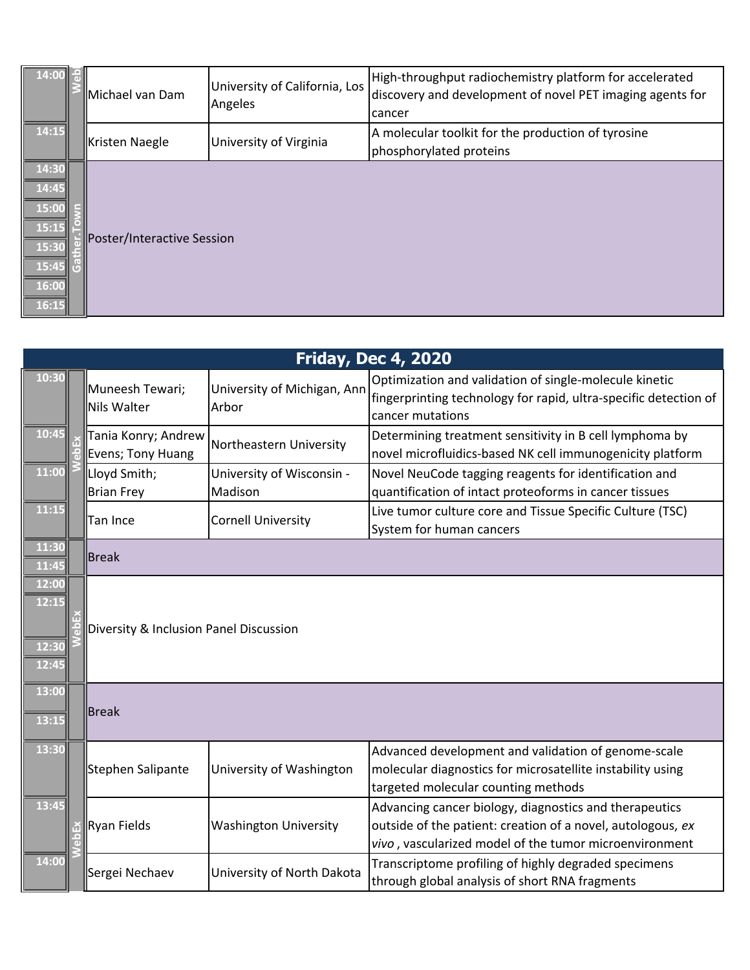| 14:00                                                                | Michael van Dam                                                         | University of California, Los<br>Angeles | High-throughput radiochemistry platform for accelerated<br>discovery and development of novel PET imaging agents for<br>cancer |
|----------------------------------------------------------------------|-------------------------------------------------------------------------|------------------------------------------|--------------------------------------------------------------------------------------------------------------------------------|
| 14:15                                                                |                                                                         | University of Virginia                   | A molecular toolkit for the production of tyrosine                                                                             |
| 14:30<br>14:45<br>15:00<br>15:15<br>15:30<br>15:45<br>16:00<br>16:15 | Kristen Naegle<br>phosphorylated proteins<br>Poster/Interactive Session |                                          |                                                                                                                                |

|                                  | <b>Friday, Dec 4, 2020</b>               |                                      |                                                                                                                                                                                 |  |
|----------------------------------|------------------------------------------|--------------------------------------|---------------------------------------------------------------------------------------------------------------------------------------------------------------------------------|--|
| 10:30                            | Muneesh Tewari;<br>Nils Walter           | University of Michigan, Ann<br>Arbor | Optimization and validation of single-molecule kinetic<br>fingerprinting technology for rapid, ultra-specific detection of<br>cancer mutations                                  |  |
| 10:45                            | Tania Konry; Andrew<br>Evens; Tony Huang | Northeastern University              | Determining treatment sensitivity in B cell lymphoma by<br>novel microfluidics-based NK cell immunogenicity platform                                                            |  |
| 11:00                            | Lloyd Smith;<br>Brian Frey               | University of Wisconsin -<br>Madison | Novel NeuCode tagging reagents for identification and<br>quantification of intact proteoforms in cancer tissues                                                                 |  |
| 11:15                            | Tan Ince                                 | <b>Cornell University</b>            | Live tumor culture core and Tissue Specific Culture (TSC)<br>System for human cancers                                                                                           |  |
| 11:30<br>11:45                   | <b>Break</b>                             |                                      |                                                                                                                                                                                 |  |
| 12:00<br>12:15<br>12:30<br>12:45 | Diversity & Inclusion Panel Discussion   |                                      |                                                                                                                                                                                 |  |
| 13:00<br>13:15                   | Break                                    |                                      |                                                                                                                                                                                 |  |
| 13:30                            | Stephen Salipante                        | University of Washington             | Advanced development and validation of genome-scale<br>molecular diagnostics for microsatellite instability using<br>targeted molecular counting methods                        |  |
| 13:45                            | Ryan Fields                              | <b>Washington University</b>         | Advancing cancer biology, diagnostics and therapeutics<br>outside of the patient: creation of a novel, autologous, ex<br>vivo, vascularized model of the tumor microenvironment |  |
| 14:00                            | Sergei Nechaev                           | University of North Dakota           | Transcriptome profiling of highly degraded specimens<br>through global analysis of short RNA fragments                                                                          |  |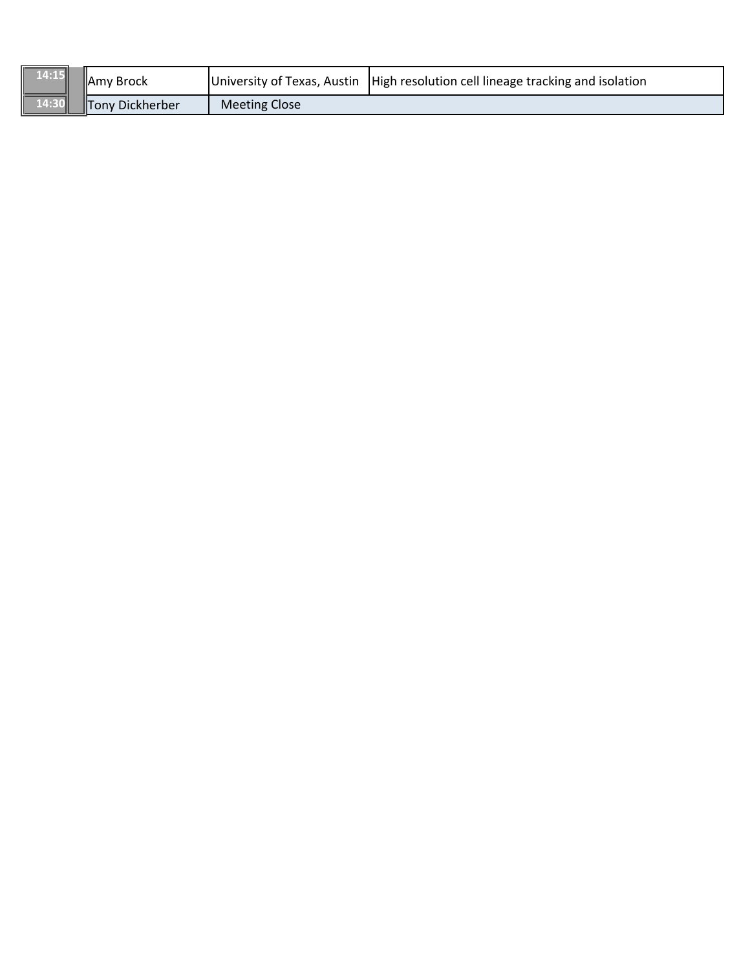| $\vert$ 14:15 $\vert$ | <b>IAmy Brock</b> |               | University of Texas, Austin   High resolution cell lineage tracking and isolation |
|-----------------------|-------------------|---------------|-----------------------------------------------------------------------------------|
| $\vert$ 14:30         | Tony Dickherber   | Meeting Close |                                                                                   |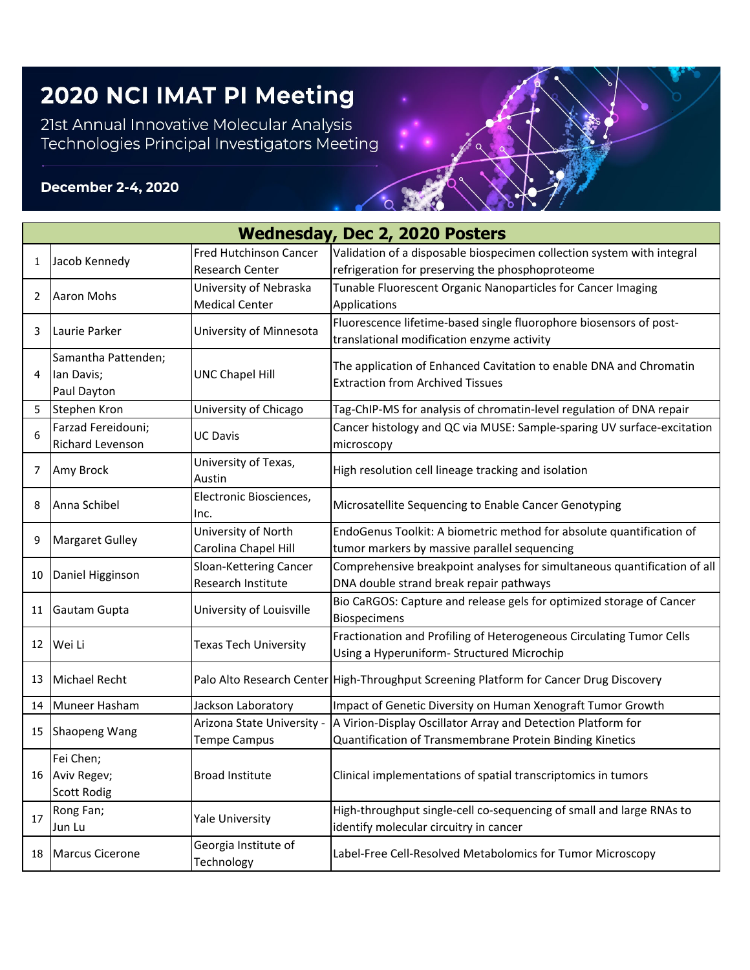## 2020 NCI IMAT PI Meeting

21st Annual Innovative Molecular Analysis<br>Technologies Principal Investigators Meeting

## **December 2-4, 2020**

|    | <b>Wednesday, Dec 2, 2020 Posters</b> |                                    |                                                                                        |  |  |
|----|---------------------------------------|------------------------------------|----------------------------------------------------------------------------------------|--|--|
|    |                                       | <b>Fred Hutchinson Cancer</b>      | Validation of a disposable biospecimen collection system with integral                 |  |  |
| 1  | Jacob Kennedy                         | Research Center                    | refrigeration for preserving the phosphoproteome                                       |  |  |
| 2  | Aaron Mohs                            | University of Nebraska             | Tunable Fluorescent Organic Nanoparticles for Cancer Imaging                           |  |  |
|    |                                       | <b>Medical Center</b>              | Applications                                                                           |  |  |
| 3  | Laurie Parker                         | University of Minnesota            | Fluorescence lifetime-based single fluorophore biosensors of post-                     |  |  |
|    |                                       |                                    | translational modification enzyme activity                                             |  |  |
|    | Samantha Pattenden;                   |                                    | The application of Enhanced Cavitation to enable DNA and Chromatin                     |  |  |
| 4  | lan Davis;                            | <b>UNC Chapel Hill</b>             | <b>Extraction from Archived Tissues</b>                                                |  |  |
|    | Paul Dayton                           |                                    |                                                                                        |  |  |
| 5  | Stephen Kron                          | University of Chicago              | Tag-ChIP-MS for analysis of chromatin-level regulation of DNA repair                   |  |  |
| 6  | Farzad Fereidouni;                    | <b>UC Davis</b>                    | Cancer histology and QC via MUSE: Sample-sparing UV surface-excitation                 |  |  |
|    | Richard Levenson                      |                                    | microscopy                                                                             |  |  |
| 7  | Amy Brock                             | University of Texas,               | High resolution cell lineage tracking and isolation                                    |  |  |
|    |                                       | Austin<br>Electronic Biosciences,  |                                                                                        |  |  |
| 8  | Anna Schibel                          | Inc.                               | Microsatellite Sequencing to Enable Cancer Genotyping                                  |  |  |
|    | <b>Margaret Gulley</b>                | University of North                | EndoGenus Toolkit: A biometric method for absolute quantification of                   |  |  |
| 9  |                                       | Carolina Chapel Hill               | tumor markers by massive parallel sequencing                                           |  |  |
|    | Daniel Higginson                      | Sloan-Kettering Cancer             | Comprehensive breakpoint analyses for simultaneous quantification of all               |  |  |
| 10 |                                       | Research Institute                 | DNA double strand break repair pathways                                                |  |  |
|    | Gautam Gupta                          | University of Louisville           | Bio CaRGOS: Capture and release gels for optimized storage of Cancer                   |  |  |
| 11 |                                       |                                    | <b>Biospecimens</b>                                                                    |  |  |
|    | Wei Li                                | <b>Texas Tech University</b>       | Fractionation and Profiling of Heterogeneous Circulating Tumor Cells                   |  |  |
| 12 |                                       |                                    | Using a Hyperuniform- Structured Microchip                                             |  |  |
| 13 | <b>Michael Recht</b>                  |                                    | Palo Alto Research Center High-Throughput Screening Platform for Cancer Drug Discovery |  |  |
|    |                                       |                                    |                                                                                        |  |  |
| 14 | Muneer Hasham                         | Jackson Laboratory                 | Impact of Genetic Diversity on Human Xenograft Tumor Growth                            |  |  |
| 15 | <b>Shaopeng Wang</b>                  | Arizona State University -         | A Virion-Display Oscillator Array and Detection Platform for                           |  |  |
|    |                                       | <b>Tempe Campus</b>                | Quantification of Transmembrane Protein Binding Kinetics                               |  |  |
|    | Fei Chen;                             |                                    |                                                                                        |  |  |
|    | 16 Aviv Regev;                        | <b>Broad Institute</b>             | Clinical implementations of spatial transcriptomics in tumors                          |  |  |
|    | <b>Scott Rodig</b>                    |                                    |                                                                                        |  |  |
| 17 | Rong Fan;                             | Yale University                    | High-throughput single-cell co-sequencing of small and large RNAs to                   |  |  |
|    | Jun Lu                                |                                    | identify molecular circuitry in cancer                                                 |  |  |
| 18 | Marcus Cicerone                       | Georgia Institute of<br>Technology | Label-Free Cell-Resolved Metabolomics for Tumor Microscopy                             |  |  |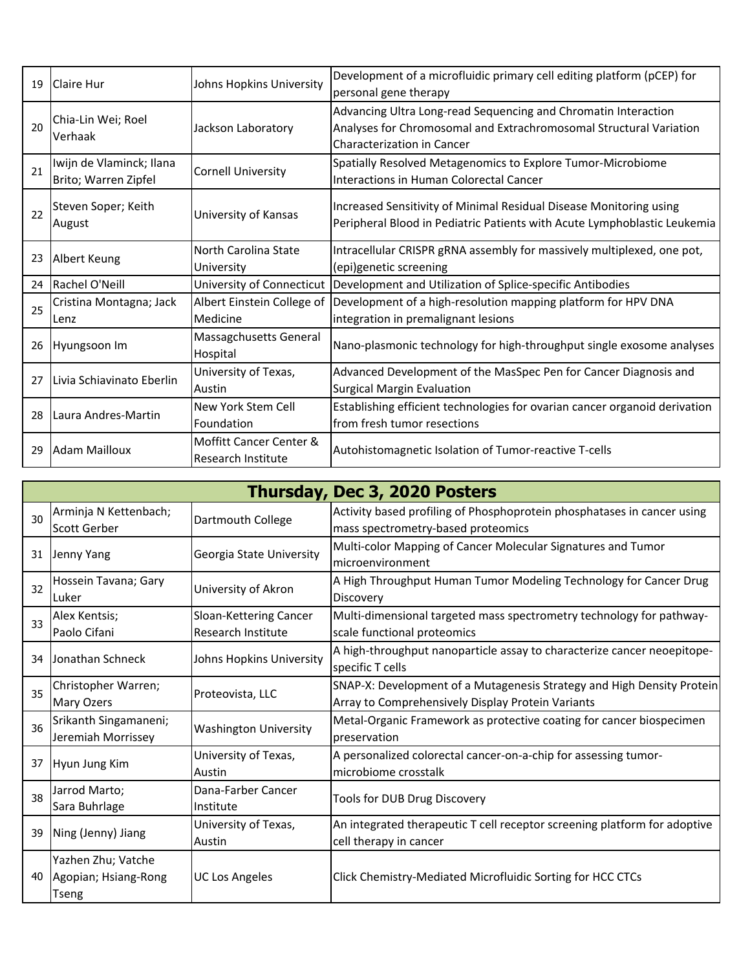| 19 | Claire Hur                                       | Johns Hopkins University                      | Development of a microfluidic primary cell editing platform (pCEP) for<br>personal gene therapy                                                                           |
|----|--------------------------------------------------|-----------------------------------------------|---------------------------------------------------------------------------------------------------------------------------------------------------------------------------|
| 20 | Chia-Lin Wei; Roel<br>Verhaak                    | Jackson Laboratory                            | Advancing Ultra Long-read Sequencing and Chromatin Interaction<br>Analyses for Chromosomal and Extrachromosomal Structural Variation<br><b>Characterization in Cancer</b> |
| 21 | Iwijn de Vlaminck; Ilana<br>Brito; Warren Zipfel | <b>Cornell University</b>                     | Spatially Resolved Metagenomics to Explore Tumor-Microbiome<br>Interactions in Human Colorectal Cancer                                                                    |
| 22 | Steven Soper; Keith<br>August                    | University of Kansas                          | Increased Sensitivity of Minimal Residual Disease Monitoring using<br>Peripheral Blood in Pediatric Patients with Acute Lymphoblastic Leukemia                            |
| 23 | Albert Keung                                     | North Carolina State<br>University            | Intracellular CRISPR gRNA assembly for massively multiplexed, one pot,<br>(epi)genetic screening                                                                          |
| 24 | Rachel O'Neill                                   | University of Connecticut                     | Development and Utilization of Splice-specific Antibodies                                                                                                                 |
| 25 | Cristina Montagna; Jack<br>Lenz                  | Albert Einstein College of<br>Medicine        | Development of a high-resolution mapping platform for HPV DNA<br>integration in premalignant lesions                                                                      |
| 26 | Hyungsoon Im                                     | Massagchusetts General<br>Hospital            | Nano-plasmonic technology for high-throughput single exosome analyses                                                                                                     |
| 27 | Livia Schiavinato Eberlin                        | University of Texas,<br>Austin                | Advanced Development of the MasSpec Pen for Cancer Diagnosis and<br><b>Surgical Margin Evaluation</b>                                                                     |
| 28 | Laura Andres-Martin                              | New York Stem Cell<br>Foundation              | Establishing efficient technologies for ovarian cancer organoid derivation<br>from fresh tumor resections                                                                 |
| 29 | <b>Adam Mailloux</b>                             | Moffitt Cancer Center &<br>Research Institute | Autohistomagnetic Isolation of Tumor-reactive T-cells                                                                                                                     |

|    | Thursday, Dec 3, 2020 Posters                       |                                              |                                                                                                                             |  |  |
|----|-----------------------------------------------------|----------------------------------------------|-----------------------------------------------------------------------------------------------------------------------------|--|--|
| 30 | Arminja N Kettenbach;<br>Scott Gerber               | Dartmouth College                            | Activity based profiling of Phosphoprotein phosphatases in cancer using<br>mass spectrometry-based proteomics               |  |  |
|    | 31 Jenny Yang                                       | Georgia State University                     | Multi-color Mapping of Cancer Molecular Signatures and Tumor<br>microenvironment                                            |  |  |
| 32 | Hossein Tavana; Gary<br>Luker                       | University of Akron                          | A High Throughput Human Tumor Modeling Technology for Cancer Drug<br><b>Discovery</b>                                       |  |  |
| 33 | Alex Kentsis;<br>Paolo Cifani                       | Sloan-Kettering Cancer<br>Research Institute | Multi-dimensional targeted mass spectrometry technology for pathway-<br>scale functional proteomics                         |  |  |
| 34 | Jonathan Schneck                                    | Johns Hopkins University                     | A high-throughput nanoparticle assay to characterize cancer neoepitope-<br>specific T cells                                 |  |  |
| 35 | Christopher Warren;<br>Mary Ozers                   | Proteovista, LLC                             | SNAP-X: Development of a Mutagenesis Strategy and High Density Protein<br>Array to Comprehensively Display Protein Variants |  |  |
| 36 | Srikanth Singamaneni;<br>Jeremiah Morrissey         | <b>Washington University</b>                 | Metal-Organic Framework as protective coating for cancer biospecimen<br>preservation                                        |  |  |
| 37 | Hyun Jung Kim                                       | University of Texas,<br>Austin               | A personalized colorectal cancer-on-a-chip for assessing tumor-<br>microbiome crosstalk                                     |  |  |
| 38 | Jarrod Marto;<br>Sara Buhrlage                      | Dana-Farber Cancer<br>Institute              | Tools for DUB Drug Discovery                                                                                                |  |  |
| 39 | Ning (Jenny) Jiang                                  | University of Texas,<br>Austin               | An integrated therapeutic T cell receptor screening platform for adoptive<br>cell therapy in cancer                         |  |  |
| 40 | Yazhen Zhu; Vatche<br>Agopian; Hsiang-Rong<br>Tseng | <b>UC Los Angeles</b>                        | Click Chemistry-Mediated Microfluidic Sorting for HCC CTCs                                                                  |  |  |